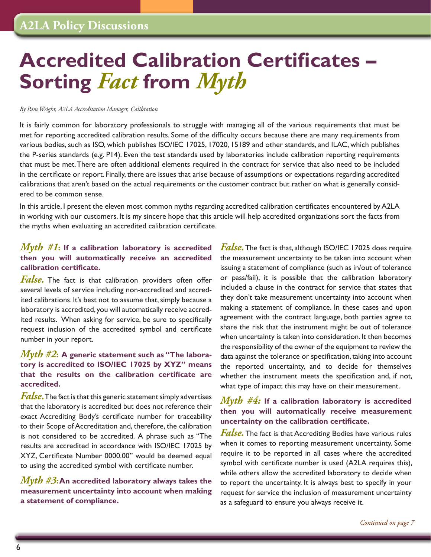# <span id="page-0-0"></span>**Accredited Calibration Certificates – Sorting** *Fact* **from** *Myth*

#### *By Pam Wright, A2LA Accreditation Manager, Calibration*

It is fairly common for laboratory professionals to struggle with managing all of the various requirements that must be met for reporting accredited calibration results. Some of the difficulty occurs because there are many requirements from various bodies, such as ISO, which publishes ISO/IEC 17025, 17020, 15189 and other standards, and ILAC, which publishes the P-series standards (e.g. P14). Even the test standards used by laboratories include calibration reporting requirements that must be met. There are often additional elements required in the contract for service that also need to be included in the certificate or report. Finally, there are issues that arise because of assumptions or expectations regarding accredited calibrations that aren't based on the actual requirements or the customer contract but rather on what is generally considered to be common sense.

In this article, I present the eleven most common myths regarding accredited calibration certificates encountered byA2LA in working with our customers. It is my sincere hope that this article will help accredited organizations sort the facts from the myths when evaluating an accredited calibration certificate.

# *Myth #1***: If a calibration laboratory is accredited then you will automatically receive an accredited calibration certificate.**

*False.* The fact is that calibration providers often offer several levels of service including non-accredited and accredited calibrations. It's best not to assume that, simply because a laboratory is accredited, you will automatically receive accredited results. When asking for service, be sure to specifically request inclusion of the accredited symbol and certificate number in your report.

# *Myth #2***: A generic statement such as "The laboratory is accredited to ISO/IEC 17025 by XYZ" means that the results on the calibration certificate are accredited.**

*False.* The fact is that this generic statement simply advertises that the laboratory is accredited but does not reference their exact Accrediting Body's certificate number for traceability to their Scope of Accreditation and, therefore, the calibration is not considered to be accredited. A phrase such as "The results are accredited in accordance with ISO/IEC 17025 by XYZ, Certificate Number 0000.00" would be deemed equal to using the accredited symbol with certificate number.

# *Myth #3***: An accredited laboratory always takes the measurement uncertainty into account when making a statement of compliance.**

*False.*The fact is that, although ISO/IEC 17025 does require the measurement uncertainty to be taken into account when issuing a statement of compliance (such as in/out of tolerance or pass/fail), it is possible that the calibration laboratory included a clause in the contract for service that states that they don't take measurement uncertainty into account when making a statement of compliance. In these cases and upon agreement with the contract language, both parties agree to share the risk that the instrument might be out of tolerance when uncertainty is taken into consideration. It then becomes the responsibility of the owner of the equipment to review the data against the tolerance or specification, taking into account the reported uncertainty, and to decide for themselves whether the instrument meets the specification and, if not, what type of impact this may have on their measurement.

# *Myth #4:* **If a calibration laboratory is accredited then you will automatically receive measurement uncertainty on the calibration certificate.**

*False.* The fact is that Accrediting Bodies have various rules when it comes to reporting measurement uncertainty. Some require it to be reported in all cases where the accredited symbol with certificate number is used (A2LA requires this), while others allow the accredited laboratory to decide when to report the uncertainty. It is always best to specify in your request for service the inclusion of measurement uncertainty as a safeguard to ensure you always receive it.